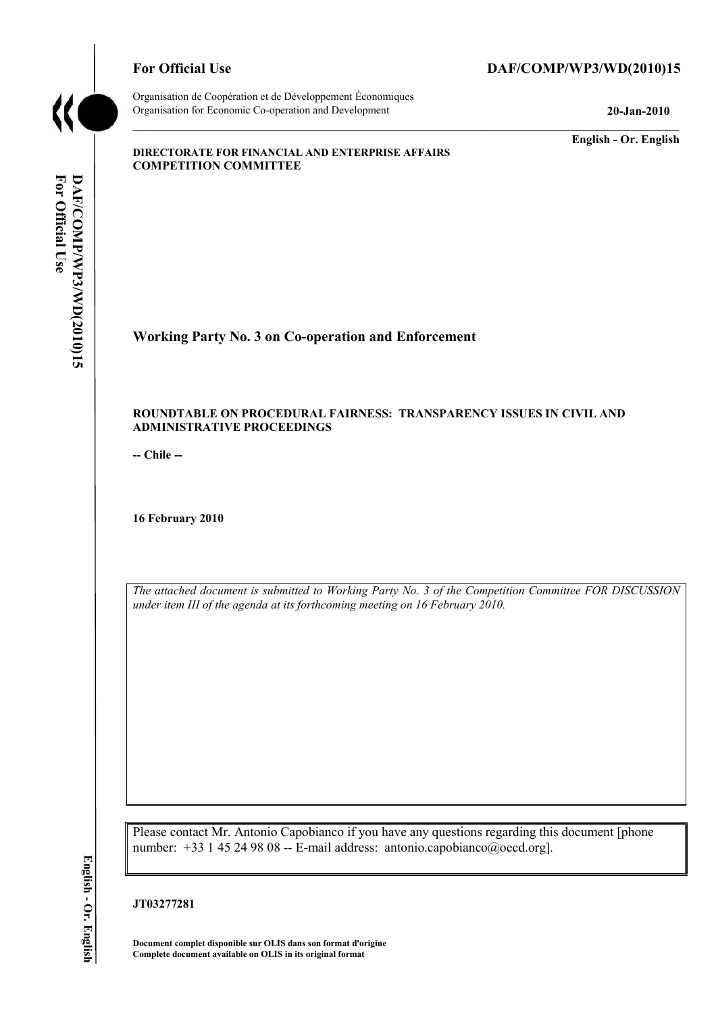

Organisation de Coopération et de Développement Économiques Organisation for Economic Co-operation and Development **20-Jan-2010** 

## For Official Use DAF/COMP/WP3/WD(2010)15

**English - Or. English** 

#### **DIRECTORATE FOR FINANCIAL AND ENTERPRISE AFFAIRS COMPETITION COMMITTEE**

# **Working Party No. 3 on Co-operation and Enforcement**

#### **ROUNDTABLE ON PROCEDURAL FAIRNESS: TRANSPARENCY ISSUES IN CIVIL AND ADMINISTRATIVE PROCEEDINGS**

**-- Chile --** 

**16 February 2010** 

*The attached document is submitted to Working Party No. 3 of the Competition Committee FOR DISCUSSION under item III of the agenda at its forthcoming meeting on 16 February 2010.* 

Please contact Mr. Antonio Capobianco if you have any questions regarding this document [phone number: +33 1 45 24 98 08 -- E-mail address: antonio.capobianco@oecd.org].

#### **JT03277281**

**Document complet disponible sur OLIS dans son format d'origine Complete document available on OLIS in its original format**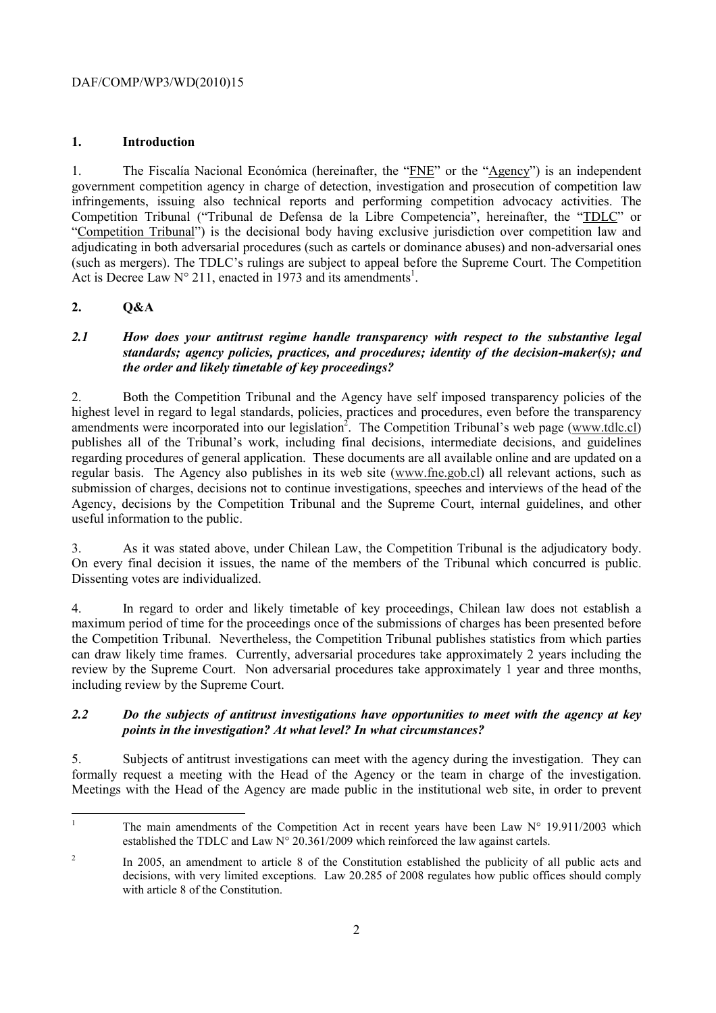#### DAF/COMP/WP3/WD(2010)15

#### **1. Introduction**

1. The Fiscalía Nacional Económica (hereinafter, the "FNE" or the "Agency") is an independent government competition agency in charge of detection, investigation and prosecution of competition law infringements, issuing also technical reports and performing competition advocacy activities. The Competition Tribunal ("Tribunal de Defensa de la Libre Competencia", hereinafter, the "TDLC" or "Competition Tribunal") is the decisional body having exclusive jurisdiction over competition law and adjudicating in both adversarial procedures (such as cartels or dominance abuses) and non-adversarial ones (such as mergers). The TDLC's rulings are subject to appeal before the Supreme Court. The Competition Act is Decree Law  $N^{\circ}$  211, enacted in 1973 and its amendments<sup>1</sup>.

### **2. Q&A**

#### *2.1 How does your antitrust regime handle transparency with respect to the substantive legal standards; agency policies, practices, and procedures; identity of the decision-maker(s); and the order and likely timetable of key proceedings?*

2. Both the Competition Tribunal and the Agency have self imposed transparency policies of the highest level in regard to legal standards, policies, practices and procedures, even before the transparency amendments were incorporated into our legislation<sup>2</sup>. The Competition Tribunal's web page (www.tdlc.cl) publishes all of the Tribunal's work, including final decisions, intermediate decisions, and guidelines regarding procedures of general application. These documents are all available online and are updated on a regular basis. The Agency also publishes in its web site (www.fne.gob.cl) all relevant actions, such as submission of charges, decisions not to continue investigations, speeches and interviews of the head of the Agency, decisions by the Competition Tribunal and the Supreme Court, internal guidelines, and other useful information to the public.

3. As it was stated above, under Chilean Law, the Competition Tribunal is the adjudicatory body. On every final decision it issues, the name of the members of the Tribunal which concurred is public. Dissenting votes are individualized.

4. In regard to order and likely timetable of key proceedings, Chilean law does not establish a maximum period of time for the proceedings once of the submissions of charges has been presented before the Competition Tribunal. Nevertheless, the Competition Tribunal publishes statistics from which parties can draw likely time frames. Currently, adversarial procedures take approximately 2 years including the review by the Supreme Court. Non adversarial procedures take approximately 1 year and three months, including review by the Supreme Court.

#### *2.2 Do the subjects of antitrust investigations have opportunities to meet with the agency at key points in the investigation? At what level? In what circumstances?*

5. Subjects of antitrust investigations can meet with the agency during the investigation. They can formally request a meeting with the Head of the Agency or the team in charge of the investigation. Meetings with the Head of the Agency are made public in the institutional web site, in order to prevent

<sup>|&</sup>lt;br>|<br>| The main amendments of the Competition Act in recent years have been Law  $N^{\circ}$  19.911/2003 which established the TDLC and Law  $N^{\circ}$  20.361/2009 which reinforced the law against cartels.

<sup>2</sup> In 2005, an amendment to article 8 of the Constitution established the publicity of all public acts and decisions, with very limited exceptions. Law 20.285 of 2008 regulates how public offices should comply with article 8 of the Constitution.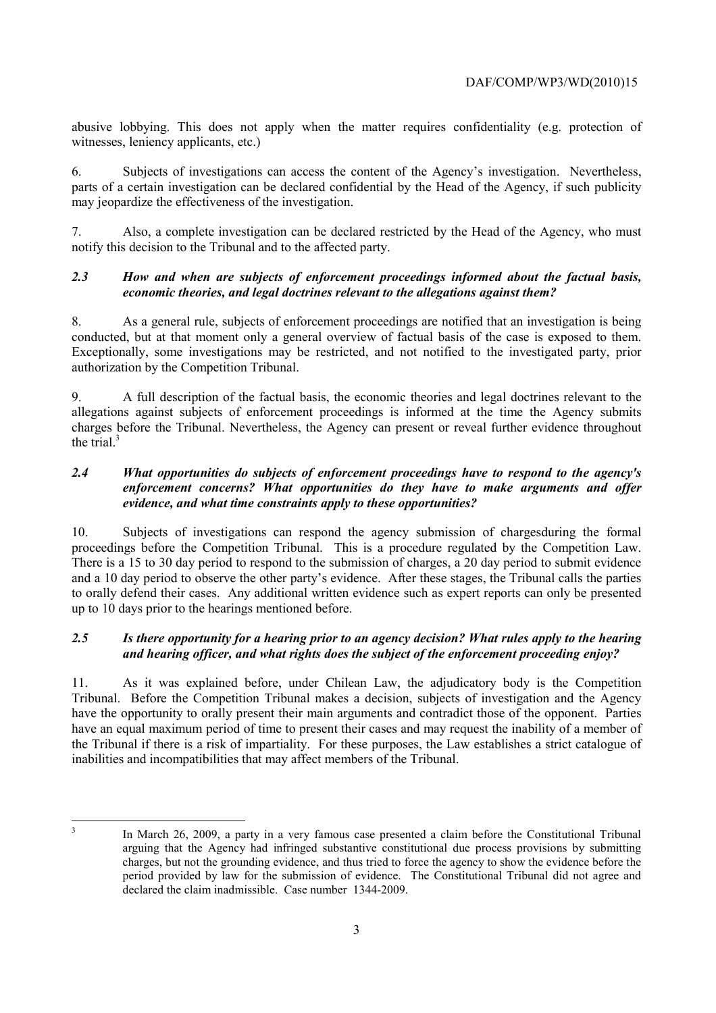abusive lobbying. This does not apply when the matter requires confidentiality (e.g. protection of witnesses, leniency applicants, etc.)

6. Subjects of investigations can access the content of the Agency's investigation. Nevertheless, parts of a certain investigation can be declared confidential by the Head of the Agency, if such publicity may jeopardize the effectiveness of the investigation.

7. Also, a complete investigation can be declared restricted by the Head of the Agency, who must notify this decision to the Tribunal and to the affected party.

#### *2.3 How and when are subjects of enforcement proceedings informed about the factual basis, economic theories, and legal doctrines relevant to the allegations against them?*

8. As a general rule, subjects of enforcement proceedings are notified that an investigation is being conducted, but at that moment only a general overview of factual basis of the case is exposed to them. Exceptionally, some investigations may be restricted, and not notified to the investigated party, prior authorization by the Competition Tribunal.

9. A full description of the factual basis, the economic theories and legal doctrines relevant to the allegations against subjects of enforcement proceedings is informed at the time the Agency submits charges before the Tribunal. Nevertheless, the Agency can present or reveal further evidence throughout the trial $<sup>3</sup>$ </sup>

#### *2.4 What opportunities do subjects of enforcement proceedings have to respond to the agency's enforcement concerns? What opportunities do they have to make arguments and offer evidence, and what time constraints apply to these opportunities?*

10. Subjects of investigations can respond the agency submission of chargesduring the formal proceedings before the Competition Tribunal. This is a procedure regulated by the Competition Law. There is a 15 to 30 day period to respond to the submission of charges, a 20 day period to submit evidence and a 10 day period to observe the other party's evidence. After these stages, the Tribunal calls the parties to orally defend their cases. Any additional written evidence such as expert reports can only be presented up to 10 days prior to the hearings mentioned before.

#### *2.5 Is there opportunity for a hearing prior to an agency decision? What rules apply to the hearing and hearing officer, and what rights does the subject of the enforcement proceeding enjoy?*

11. As it was explained before, under Chilean Law, the adjudicatory body is the Competition Tribunal. Before the Competition Tribunal makes a decision, subjects of investigation and the Agency have the opportunity to orally present their main arguments and contradict those of the opponent. Parties have an equal maximum period of time to present their cases and may request the inability of a member of the Tribunal if there is a risk of impartiality. For these purposes, the Law establishes a strict catalogue of inabilities and incompatibilities that may affect members of the Tribunal.

 3

In March 26, 2009, a party in a very famous case presented a claim before the Constitutional Tribunal arguing that the Agency had infringed substantive constitutional due process provisions by submitting charges, but not the grounding evidence, and thus tried to force the agency to show the evidence before the period provided by law for the submission of evidence. The Constitutional Tribunal did not agree and declared the claim inadmissible. Case number 1344-2009.